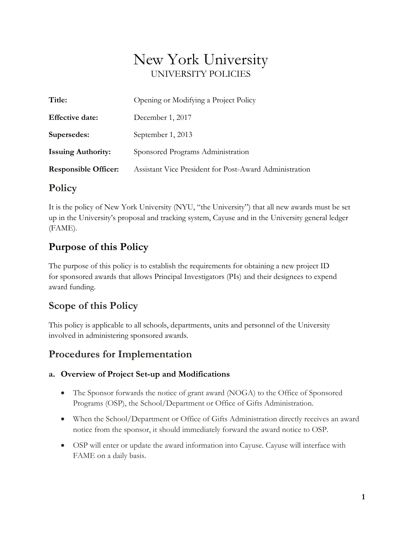# New York University UNIVERSITY POLICIES

| Title:                      | Opening or Modifying a Project Policy                  |  |
|-----------------------------|--------------------------------------------------------|--|
| <b>Effective date:</b>      | December 1, 2017                                       |  |
| Supersedes:                 | September 1, 2013                                      |  |
| <b>Issuing Authority:</b>   | Sponsored Programs Administration                      |  |
| <b>Responsible Officer:</b> | Assistant Vice President for Post-Award Administration |  |

## **Policy**

It is the policy of New York University (NYU, "the University") that all new awards must be set up in the University's proposal and tracking system, Cayuse and in the University general ledger (FAME).

## **Purpose of this Policy**

The purpose of this policy is to establish the requirements for obtaining a new project ID for sponsored awards that allows Principal Investigators (PIs) and their designees to expend award funding.

## **Scope of this Policy**

This policy is applicable to all schools, departments, units and personnel of the University involved in administering sponsored awards.

## **Procedures for Implementation**

#### **a. Overview of Project Set-up and Modifications**

- The Sponsor forwards the notice of grant award (NOGA) to the Office of Sponsored Programs (OSP), the School/Department or Office of Gifts Administration.
- When the School/Department or Office of Gifts Administration directly receives an award notice from the sponsor, it should immediately forward the award notice to OSP.
- OSP will enter or update the award information into Cayuse. Cayuse will interface with FAME on a daily basis.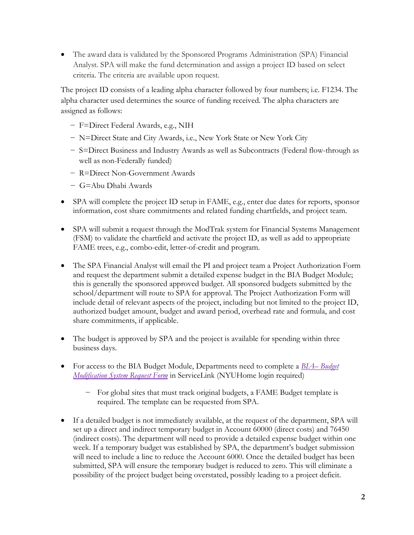• The award data is validated by the Sponsored Programs Administration (SPA) Financial Analyst. SPA will make the fund determination and assign a project ID based on select criteria. The criteria are available upon request.

The project ID consists of a leading alpha character followed by four numbers; i.e. F1234. The alpha character used determines the source of funding received. The alpha characters are assigned as follows:

- − F=Direct Federal Awards, e.g., NIH
- − N=Direct State and City Awards, i.e., New York State or New York City
- − S=Direct Business and Industry Awards as well as Subcontracts (Federal flow-through as well as non-Federally funded)
- − R=Direct Non-Government Awards
- − G=Abu Dhabi Awards
- SPA will complete the project ID setup in FAME, e.g., enter due dates for reports, sponsor information, cost share commitments and related funding chartfields, and project team.
- SPA will submit a request through the ModTrak system for Financial Systems Management (FSM) to validate the chartfield and activate the project ID, as well as add to appropriate FAME trees, e.g., combo-edit, letter-of-credit and program.
- The SPA Financial Analyst will email the PI and project team a Project Authorization Form and request the department submit a detailed expense budget in the BIA Budget Module; this is generally the sponsored approved budget. All sponsored budgets submitted by the school/department will route to SPA for approval. The Project Authorization Form will include detail of relevant aspects of the project, including but not limited to the project ID, authorized budget amount, budget and award period, overhead rate and formula, and cost share commitments, if applicable.
- The budget is approved by SPA and the project is available for spending within three business days.
- For access to the BIA Budget Module, Departments need to complete a *BIA– [Budget](https://nyu.service-now.com/saml_redirector.do?sysparm_uri=/servicelink/catalog.do?sysparm_document_key=sc_cat_item,8d989d2a98bcf4004c8c03063d84e2ca)  [Modification System Request Form](https://nyu.service-now.com/saml_redirector.do?sysparm_uri=/servicelink/catalog.do?sysparm_document_key=sc_cat_item,8d989d2a98bcf4004c8c03063d84e2ca)* in ServiceLink (NYUHome login required)
	- − For global sites that must track original budgets, a FAME Budget template is required. The template can be requested from SPA.
- If a detailed budget is not immediately available, at the request of the department, SPA will set up a direct and indirect temporary budget in Account 60000 (direct costs) and 76450 (indirect costs). The department will need to provide a detailed expense budget within one week. If a temporary budget was established by SPA, the department's budget submission will need to include a line to reduce the Account 6000. Once the detailed budget has been submitted, SPA will ensure the temporary budget is reduced to zero. This will eliminate a possibility of the project budget being overstated, possibly leading to a project deficit.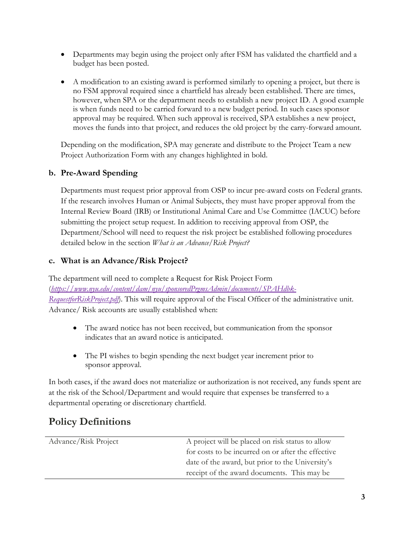- Departments may begin using the project only after FSM has validated the chartfield and a budget has been posted.
- A modification to an existing award is performed similarly to opening a project, but there is no FSM approval required since a chartfield has already been established. There are times, however, when SPA or the department needs to establish a new project ID. A good example is when funds need to be carried forward to a new budget period. In such cases sponsor approval may be required. When such approval is received, SPA establishes a new project, moves the funds into that project, and reduces the old project by the carry-forward amount.

Depending on the modification, SPA may generate and distribute to the Project Team a new Project Authorization Form with any changes highlighted in bold.

#### **b. Pre-Award Spending**

Departments must request prior approval from OSP to incur pre-award costs on Federal grants. If the research involves Human or Animal Subjects, they must have proper approval from the Internal Review Board (IRB) or Institutional Animal Care and Use Committee (IACUC) before submitting the project setup request. In addition to receiving approval from OSP, the Department/School will need to request the risk project be established following procedures detailed below in the section *What is an Advance/Risk Project?*

#### **c. What is an Advance/Risk Project?**

The department will need to complete a Request for Risk Project Form (*[https://www.nyu.edu/content/dam/nyu/sponsoredPrgmsAdmin/documents/SPAHdbk-](https://www.nyu.edu/content/dam/nyu/sponsoredPrgmsAdmin/documents/SPAHdbk-RequestforRiskProject.pdf)[RequestforRiskProject.pdf](https://www.nyu.edu/content/dam/nyu/sponsoredPrgmsAdmin/documents/SPAHdbk-RequestforRiskProject.pdf)*). This will require approval of the Fiscal Officer of the administrative unit. Advance/ Risk accounts are usually established when:

- The award notice has not been received, but communication from the sponsor indicates that an award notice is anticipated.
- The PI wishes to begin spending the next budget year increment prior to sponsor approval.

In both cases, if the award does not materialize or authorization is not received, any funds spent are at the risk of the School/Department and would require that expenses be transferred to a departmental operating or discretionary chartfield.

## **Policy Definitions**

| Advance/Risk Project | A project will be placed on risk status to allow   |
|----------------------|----------------------------------------------------|
|                      | for costs to be incurred on or after the effective |
|                      | date of the award, but prior to the University's   |
|                      | receipt of the award documents. This may be        |